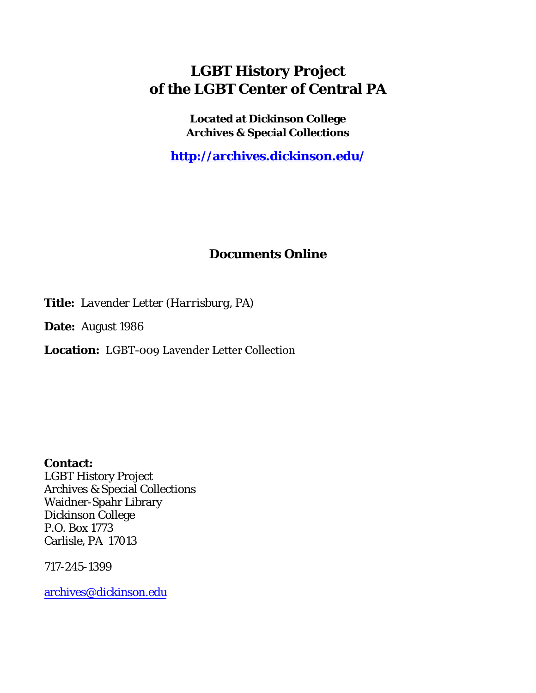## **LGBT History Project of the LGBT Center of Central PA**

**Located at Dickinson College Archives & Special Collections**

**<http://archives.dickinson.edu/>**

## **Documents Online**

**Title:** *Lavender Letter (Harrisburg, PA)*

**Date:** August 1986

**Location:** LGBT-009 Lavender Letter Collection

**Contact:**  LGBT History Project Archives & Special Collections Waidner-Spahr Library Dickinson College P.O. Box 1773 Carlisle, PA 17013

717-245-1399

[archives@dickinson.edu](mailto:archives@dickinson.edu)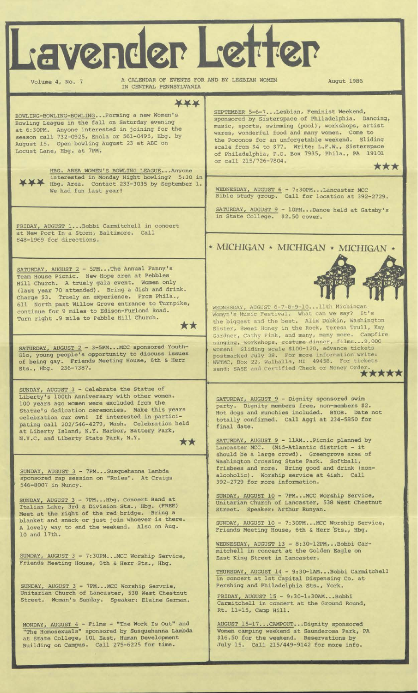| L'avender Letter<br>A CALENDAR OF EVENTS FOR AND BY LESBIAN WOMEN<br>Volume 4, No. 7                                                                                                                                                                                                                                                                                                                                           | Augut 1986                                                                                                                                                                                                                                                                                                                                                                                          |
|--------------------------------------------------------------------------------------------------------------------------------------------------------------------------------------------------------------------------------------------------------------------------------------------------------------------------------------------------------------------------------------------------------------------------------|-----------------------------------------------------------------------------------------------------------------------------------------------------------------------------------------------------------------------------------------------------------------------------------------------------------------------------------------------------------------------------------------------------|
| IN CENTRAL PENNSYLVANIA                                                                                                                                                                                                                                                                                                                                                                                                        |                                                                                                                                                                                                                                                                                                                                                                                                     |
| ***<br>BOWLING-BOWLING-BOWLINGForming a new Women's<br>Bowling League in the fall on Saturday evening<br>at 6:30PM. Anyone interested in joining for the<br>season call 732-0925, Enola or 561-0495, Hbg. by<br>August 15. Open bowling August 23 at ABC on<br>Locust Lane, Hbg. at 7PM.<br>HBG. AREA WOMEN'S BOWLING LEAGUEAnyone                                                                                             | SEPTEMBER 5-6-7Lesbian, Feminist Weekend,<br>sponsored by Sisterspace of Philadelphia. Dancing,<br>music, sports, swimming (pool), workshops, artist<br>wares, wonderful food and many women. Come to<br>the Poconos for an unforgetable weekend. Sliding<br>scale from \$4 to \$77. Write: L.F.W., Sisterspace<br>of Philadelphia, P.O. Box 7935, Phila., PA 19101<br>or call 215/726-7804.<br>*** |
| interested in Monday Night bowling? 5:30 in<br>Hbg. Area. Contact 233-3035 by September 1.<br>We had fun last year!                                                                                                                                                                                                                                                                                                            | WEDNESDAY, AUGUST 6 - 7:30PMLancaster MCC<br>Bible study group. Call for location at 392-2729.                                                                                                                                                                                                                                                                                                      |
| FRIDAY, AUGUST 1Bobbi Carmitchell in concert<br>at New Port In a Storn, Baltimore. Call<br>848-1969 for directions.                                                                                                                                                                                                                                                                                                            | SATURDAY, AUGUST 9 - 10PMDance held at Gatsby's<br>in State College. \$2.50 cover.<br>* MICHIGAN * MICHIGAN * MICHIGAN *                                                                                                                                                                                                                                                                            |
| SATURDAY, AUGUST 2 - 5PMThe Annual Fanny's<br>Team House Picnic. New Hope area at Pebbles<br>Hill Church. A truely gala event. Women only<br>(last year 70 attended). Bring a dish and drink.<br>Charge \$3. Truely an experience. From Phila.,<br>611 North past Willow Grove entrance to Turnpike,<br>continue for 9 miles to Edison-Furlond Road.<br>Turn right .9 mile to Pebble Hill Church.<br>$\mathbf{x}$ $\mathbf{x}$ | WEDNESDAY, AUGUST 6-7-8-9-10 llth Michingan<br>Womyn's Music Festival. What can we say? It's<br>the biggest and the best. Alix Dobkin, Washington<br>Sister, Sweet Honey in the Rock, Teresa Trull, Kay<br>Gardner, Cathy Fink, and many, many more. Campfire                                                                                                                                       |
| SATURDAY, AUGUST 2 - 3-5PMMCC sponsored Youth-<br>Glo, young people's opportunity to discuss issues<br>of being gay. Friends Meeting House, 6th & Herr<br>Sts., Hbg. 236-7387.                                                                                                                                                                                                                                                 | singing, workshops, costume dinner, films 9,000<br>women! Sliding scale \$100-120, advance tickets<br>postmarked July 28. For more information write:<br>WWTMC, Box 22, Walhalla, MI 49458. For tickets<br>send: SASE and Certified Check or Money Order.<br>*****                                                                                                                                  |
| SUNDAY, AUGUST 3 - Celebrate the Statue of<br>Liberty's 100th Anniversary with other women.<br>100 years ago women were excluded from the<br>Statue's dedication ceremonies. Make this years<br>celebration our own! If interested in partici-<br>pating call 202/546-4279, Wash. Celebration held<br>at Liberty Island, N.Y. Harbor, Battery Park,<br>N.Y.C. and Liberty State Park, N.Y.<br>**                               | SATURDAY, AUGUST 9 - Dignity sponsored swim<br>party. Dignity members free, non-members \$2.<br>Hot dogs and munchies included. BYOB. Date not<br>totally confirmed. Call Aggi at 234-5850 for<br>final date.<br>SATURDAY, AUGUST 9 - 11AMPicnic planned by<br>Lancaster MCC. (Mid-Atlantic district - it<br>should be a large crowd). Greengrove area of                                           |
| SUNDAY, AUGUST 3 - 7PMSusquehanna Lambda<br>sponsored rap session on "Roles". At Craigs<br>546-8007 in Muncy.                                                                                                                                                                                                                                                                                                                  | Washington Crossing State Park. Softball,<br>frisbees and more. Bring good and drink (non-<br>alcoholic). Worship service at 4ish. Call<br>392-2729 for more information.                                                                                                                                                                                                                           |
| SUNDAY, AUGUST 3 - 7PMHbg. Concert Band at<br>Italian Lake, 3rd & Division Sts., Hbg. (FREE)<br>Meet at the right of the red bridge. Bring a<br>blanket and snack or just join whoever is there.                                                                                                                                                                                                                               | SUNDAY, AUGUST 10 - 7PMMCC Worship Service,<br>Unitarian Church of Lancaster, 538 West Chestnut<br>Street. Speaker: Arthur Runyan.<br>SUNDAY, AUGUST 10 - 7:30PMMCC Worship Service,                                                                                                                                                                                                                |
| A lovely way to end the weekend. Also on Aug.<br>10 and 17th.                                                                                                                                                                                                                                                                                                                                                                  | Friends Meeting House, 6th & Herr Sts., Hbg.<br>WEDNESDAY, AUGUST 13 - 8:30-12PM Bobbi Car-                                                                                                                                                                                                                                                                                                         |
| SUNDAY, AUGUST 3 - 7:30PMMCC Worship Service,<br>Friends Meeting House, 6th & Herr Sts., Hbg.                                                                                                                                                                                                                                                                                                                                  | mitchell in concert at the Golden Eagle on<br>East King Street in Lancaster.<br>THURSDAY, AUGUST 14 - 9:30-1AM Bobbi Carmitchell<br>in concert at 1st Capital Dispensing Co. at                                                                                                                                                                                                                     |
| SUNDAY, AUGUST 3 - 7PMMCC Worship Servcie,<br>Unitarian Church of Lancaster, 538 West Chestnut<br>Street. Woman's Sunday. Speaker: Elaine German.                                                                                                                                                                                                                                                                              | Pershing and Philadelphia Sts., York.<br>FRIDAY, AUGUST 15 - 9:30-1:30AMBobbi<br>Carmitchell in concert at the Ground Round,<br>Rt. 11-15, Camp Hill.                                                                                                                                                                                                                                               |
| MONDAY, AUGUST 4 - Films - "The Work Is Out" and<br>"The Homosexuals" sponsored by Susquehanna Lambda<br>at State College, 101 East, Human Development<br>Building on Campus. Call 275-6225 for time.                                                                                                                                                                                                                          | AUGUST 15-17CAMPOUTDignity sponsored<br>Women camping weekend at Saunderosa Park, PA<br>\$16.50 for the weekend. Reservations by<br>July 15. Call 215/449-9142 for more info.                                                                                                                                                                                                                       |